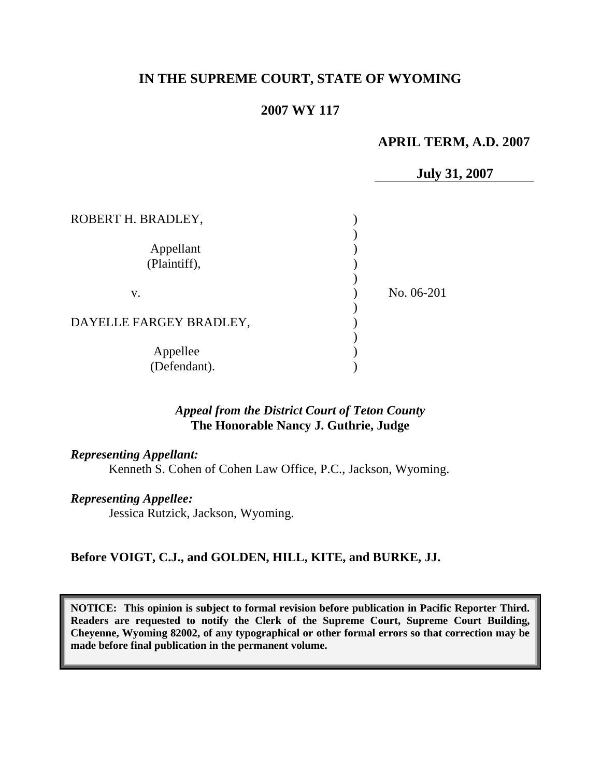# **IN THE SUPREME COURT, STATE OF WYOMING**

# **2007 WY 117**

# **APRIL TERM, A.D. 2007**

**July 31, 2007**

| ROBERT H. BRADLEY,        |            |
|---------------------------|------------|
| Appellant<br>(Plaintiff), |            |
| V.                        | No. 06-201 |
| DAYELLE FARGEY BRADLEY,   |            |
| Appellee<br>(Defendant).  |            |

## *Appeal from the District Court of Teton County* **The Honorable Nancy J. Guthrie, Judge**

#### *Representing Appellant:*

Kenneth S. Cohen of Cohen Law Office, P.C., Jackson, Wyoming.

#### *Representing Appellee:*

Jessica Rutzick, Jackson, Wyoming.

## **Before VOIGT, C.J., and GOLDEN, HILL, KITE, and BURKE, JJ.**

**NOTICE: This opinion is subject to formal revision before publication in Pacific Reporter Third. Readers are requested to notify the Clerk of the Supreme Court, Supreme Court Building, Cheyenne, Wyoming 82002, of any typographical or other formal errors so that correction may be made before final publication in the permanent volume.**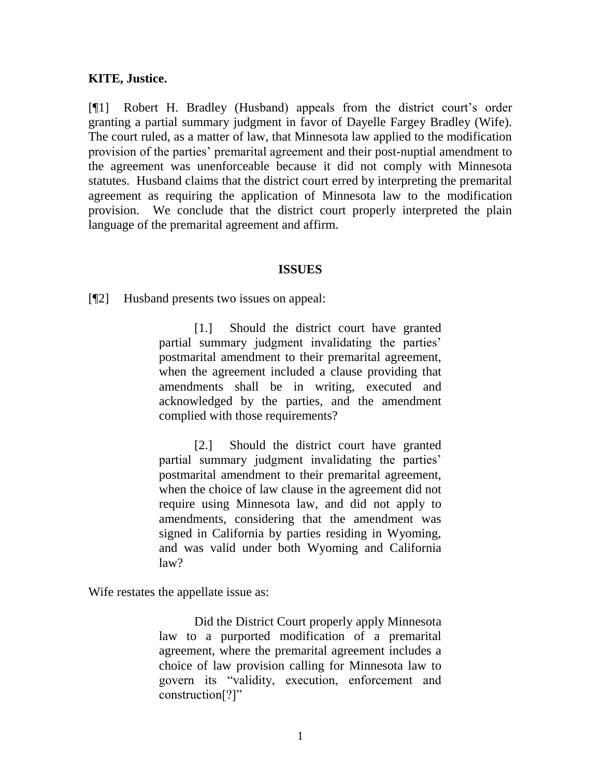## **KITE, Justice.**

[¶1] Robert H. Bradley (Husband) appeals from the district court's order granting a partial summary judgment in favor of Dayelle Fargey Bradley (Wife). The court ruled, as a matter of law, that Minnesota law applied to the modification provision of the parties' premarital agreement and their post-nuptial amendment to the agreement was unenforceable because it did not comply with Minnesota statutes. Husband claims that the district court erred by interpreting the premarital agreement as requiring the application of Minnesota law to the modification provision. We conclude that the district court properly interpreted the plain language of the premarital agreement and affirm.

#### **ISSUES**

[¶2] Husband presents two issues on appeal:

[1.] Should the district court have granted partial summary judgment invalidating the parties' postmarital amendment to their premarital agreement, when the agreement included a clause providing that amendments shall be in writing, executed and acknowledged by the parties, and the amendment complied with those requirements?

[2.] Should the district court have granted partial summary judgment invalidating the parties' postmarital amendment to their premarital agreement, when the choice of law clause in the agreement did not require using Minnesota law, and did not apply to amendments, considering that the amendment was signed in California by parties residing in Wyoming, and was valid under both Wyoming and California law?

Wife restates the appellate issue as:

Did the District Court properly apply Minnesota law to a purported modification of a premarital agreement, where the premarital agreement includes a choice of law provision calling for Minnesota law to govern its "validity, execution, enforcement and construction[?]"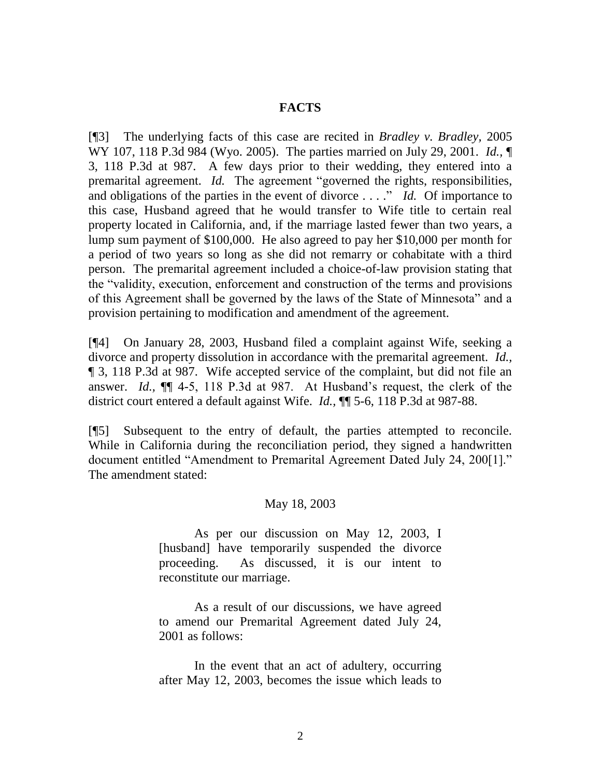## **FACTS**

[¶3] The underlying facts of this case are recited in *Bradley v. Bradley,* 2005 WY 107, 118 P.3d 984 (Wyo. 2005).The parties married on July 29, 2001. *Id.,* ¶ 3, 118 P.3d at 987. A few days prior to their wedding, they entered into a premarital agreement. *Id.* The agreement "governed the rights, responsibilities, and obligations of the parties in the event of divorce . . . ." *Id.* Of importance to this case, Husband agreed that he would transfer to Wife title to certain real property located in California, and, if the marriage lasted fewer than two years, a lump sum payment of \$100,000. He also agreed to pay her \$10,000 per month for a period of two years so long as she did not remarry or cohabitate with a third person. The premarital agreement included a choice-of-law provision stating that the "validity, execution, enforcement and construction of the terms and provisions of this Agreement shall be governed by the laws of the State of Minnesota" and a provision pertaining to modification and amendment of the agreement.

[¶4] On January 28, 2003, Husband filed a complaint against Wife, seeking a divorce and property dissolution in accordance with the premarital agreement. *Id.,*  ¶ 3, 118 P.3d at 987. Wife accepted service of the complaint, but did not file an answer. *Id.,* ¶¶ 4-5, 118 P.3d at 987. At Husband's request, the clerk of the district court entered a default against Wife. *Id.,* ¶¶ 5-6, 118 P.3d at 987-88.

[¶5] Subsequent to the entry of default, the parties attempted to reconcile. While in California during the reconciliation period, they signed a handwritten document entitled "Amendment to Premarital Agreement Dated July 24, 200[1]." The amendment stated:

## May 18, 2003

As per our discussion on May 12, 2003, I [husband] have temporarily suspended the divorce proceeding. As discussed, it is our intent to reconstitute our marriage.

As a result of our discussions, we have agreed to amend our Premarital Agreement dated July 24, 2001 as follows:

In the event that an act of adultery, occurring after May 12, 2003, becomes the issue which leads to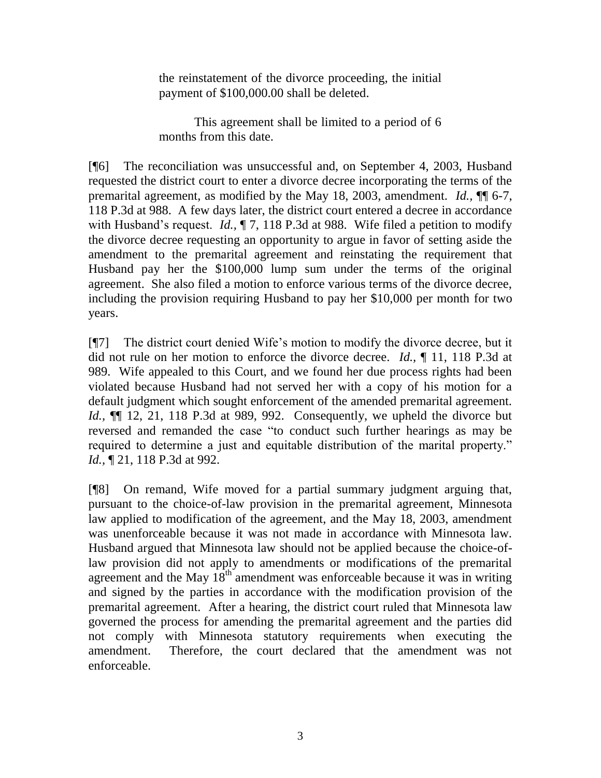the reinstatement of the divorce proceeding, the initial payment of \$100,000.00 shall be deleted.

This agreement shall be limited to a period of 6 months from this date.

[¶6] The reconciliation was unsuccessful and, on September 4, 2003, Husband requested the district court to enter a divorce decree incorporating the terms of the premarital agreement, as modified by the May 18, 2003, amendment. *Id.,* ¶¶ 6-7, 118 P.3d at 988. A few days later, the district court entered a decree in accordance with Husband's request. *Id.*,  $\P$  7, 118 P.3d at 988. Wife filed a petition to modify the divorce decree requesting an opportunity to argue in favor of setting aside the amendment to the premarital agreement and reinstating the requirement that Husband pay her the \$100,000 lump sum under the terms of the original agreement. She also filed a motion to enforce various terms of the divorce decree, including the provision requiring Husband to pay her \$10,000 per month for two years.

[¶7] The district court denied Wife's motion to modify the divorce decree, but it did not rule on her motion to enforce the divorce decree. *Id.,* ¶ 11, 118 P.3d at 989. Wife appealed to this Court, and we found her due process rights had been violated because Husband had not served her with a copy of his motion for a default judgment which sought enforcement of the amended premarital agreement. *Id.,* ¶¶ 12, 21, 118 P.3d at 989, 992. Consequently, we upheld the divorce but reversed and remanded the case "to conduct such further hearings as may be required to determine a just and equitable distribution of the marital property." *Id.,* ¶ 21, 118 P.3d at 992.

[¶8] On remand, Wife moved for a partial summary judgment arguing that, pursuant to the choice-of-law provision in the premarital agreement, Minnesota law applied to modification of the agreement, and the May 18, 2003, amendment was unenforceable because it was not made in accordance with Minnesota law. Husband argued that Minnesota law should not be applied because the choice-oflaw provision did not apply to amendments or modifications of the premarital agreement and the May  $18<sup>th</sup>$  amendment was enforceable because it was in writing and signed by the parties in accordance with the modification provision of the premarital agreement. After a hearing, the district court ruled that Minnesota law governed the process for amending the premarital agreement and the parties did not comply with Minnesota statutory requirements when executing the amendment. Therefore, the court declared that the amendment was not enforceable.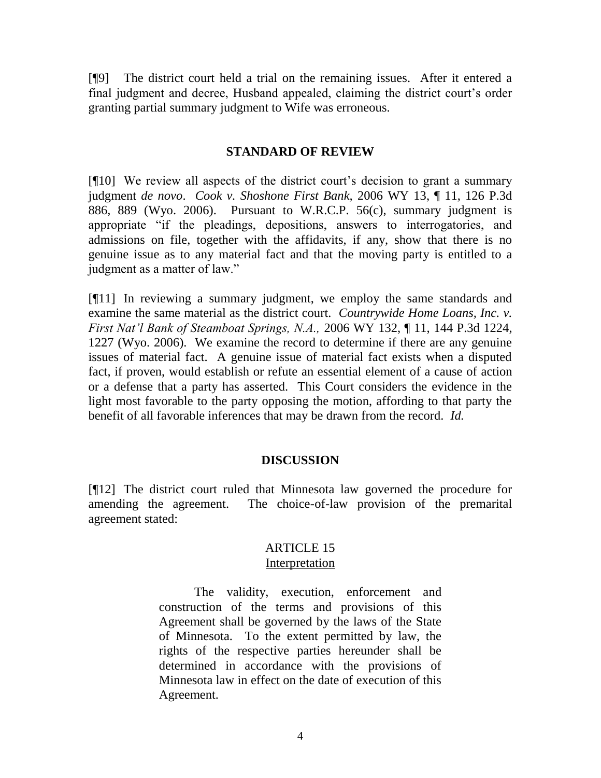[¶9] The district court held a trial on the remaining issues. After it entered a final judgment and decree, Husband appealed, claiming the district court's order granting partial summary judgment to Wife was erroneous.

## **STANDARD OF REVIEW**

[¶10] We review all aspects of the district court's decision to grant a summary judgment *de novo*. *Cook v. Shoshone First Bank,* 2006 WY 13, ¶ 11, 126 P.3d 886, 889 (Wyo. 2006). Pursuant to W.R.C.P. 56(c), summary judgment is appropriate "if the pleadings, depositions, answers to interrogatories, and admissions on file, together with the affidavits, if any, show that there is no genuine issue as to any material fact and that the moving party is entitled to a judgment as a matter of law."

[¶11] In reviewing a summary judgment, we employ the same standards and examine the same material as the district court. *Countrywide Home Loans, Inc. v. First Nat'l Bank of Steamboat Springs, N.A.,* 2006 WY 132, ¶ 11, 144 P.3d 1224, 1227 (Wyo. 2006). We examine the record to determine if there are any genuine issues of material fact. A genuine issue of material fact exists when a disputed fact, if proven, would establish or refute an essential element of a cause of action or a defense that a party has asserted. This Court considers the evidence in the light most favorable to the party opposing the motion, affording to that party the benefit of all favorable inferences that may be drawn from the record. *Id.*

# **DISCUSSION**

[¶12] The district court ruled that Minnesota law governed the procedure for amending the agreement. The choice-of-law provision of the premarital agreement stated:

## ARTICLE 15 **Interpretation**

The validity, execution, enforcement and construction of the terms and provisions of this Agreement shall be governed by the laws of the State of Minnesota. To the extent permitted by law, the rights of the respective parties hereunder shall be determined in accordance with the provisions of Minnesota law in effect on the date of execution of this Agreement.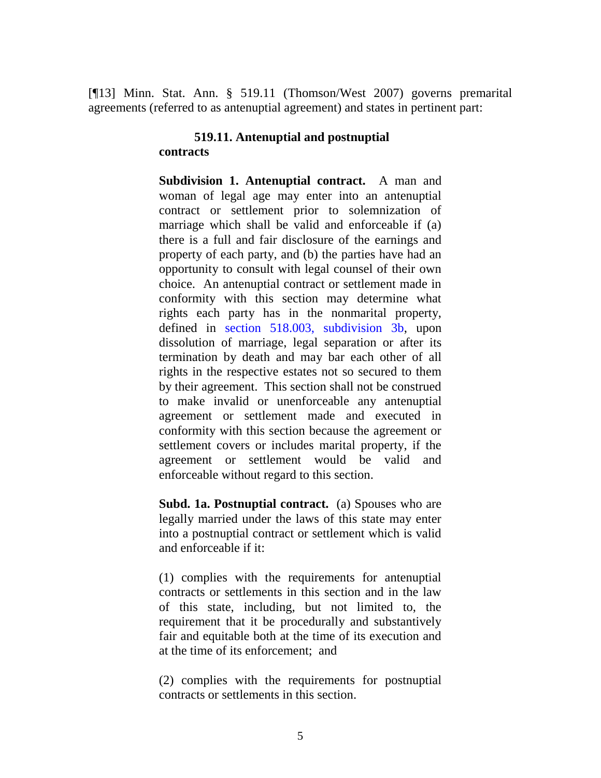[¶13] Minn. Stat. Ann. § 519.11 (Thomson/West 2007) governs premarital agreements (referred to as antenuptial agreement) and states in pertinent part:

## **519.11. Antenuptial and postnuptial contracts**

**Subdivision 1. Antenuptial contract.** A man and woman of legal age may enter into an antenuptial contract or settlement prior to solemnization of marriage which shall be valid and enforceable if (a) there is a full and fair disclosure of the earnings and property of each party, and (b) the parties have had an opportunity to consult with legal counsel of their own choice. An antenuptial contract or settlement made in conformity with this section may determine what rights each party has in the nonmarital property, defined in [section 518.003, subdivision 3b,](http://www.westlaw.com/Find/Default.wl?rs=dfa1.0&vr=2.0&DB=1000044&DocName=MNSTS518.003&FindType=L&ReferencePositionType=T&ReferencePosition=SP_c57700001d2f1) upon dissolution of marriage, legal separation or after its termination by death and may bar each other of all rights in the respective estates not so secured to them by their agreement. This section shall not be construed to make invalid or unenforceable any antenuptial agreement or settlement made and executed in conformity with this section because the agreement or settlement covers or includes marital property, if the agreement or settlement would be valid and enforceable without regard to this section.

**Subd. 1a. Postnuptial contract.** (a) Spouses who are legally married under the laws of this state may enter into a postnuptial contract or settlement which is valid and enforceable if it:

(1) complies with the requirements for antenuptial contracts or settlements in this section and in the law of this state, including, but not limited to, the requirement that it be procedurally and substantively fair and equitable both at the time of its execution and at the time of its enforcement; and

(2) complies with the requirements for postnuptial contracts or settlements in this section.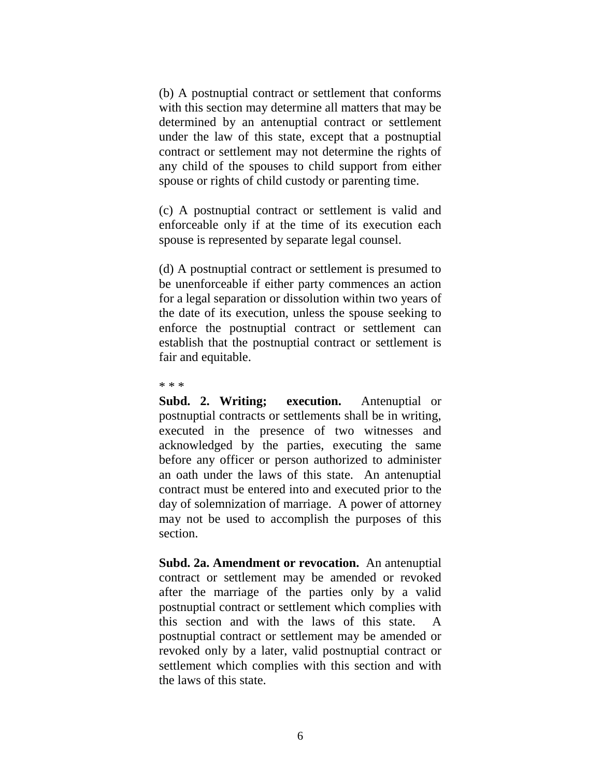(b) A postnuptial contract or settlement that conforms with this section may determine all matters that may be determined by an antenuptial contract or settlement under the law of this state, except that a postnuptial contract or settlement may not determine the rights of any child of the spouses to child support from either spouse or rights of child custody or parenting time.

(c) A postnuptial contract or settlement is valid and enforceable only if at the time of its execution each spouse is represented by separate legal counsel.

(d) A postnuptial contract or settlement is presumed to be unenforceable if either party commences an action for a legal separation or dissolution within two years of the date of its execution, unless the spouse seeking to enforce the postnuptial contract or settlement can establish that the postnuptial contract or settlement is fair and equitable.

\* \* \*

**Subd. 2. Writing; execution.** Antenuptial or postnuptial contracts or settlements shall be in writing, executed in the presence of two witnesses and acknowledged by the parties, executing the same before any officer or person authorized to administer an oath under the laws of this state. An antenuptial contract must be entered into and executed prior to the day of solemnization of marriage. A power of attorney may not be used to accomplish the purposes of this section.

**Subd. 2a. Amendment or revocation.** An antenuptial contract or settlement may be amended or revoked after the marriage of the parties only by a valid postnuptial contract or settlement which complies with this section and with the laws of this state. A postnuptial contract or settlement may be amended or revoked only by a later, valid postnuptial contract or settlement which complies with this section and with the laws of this state.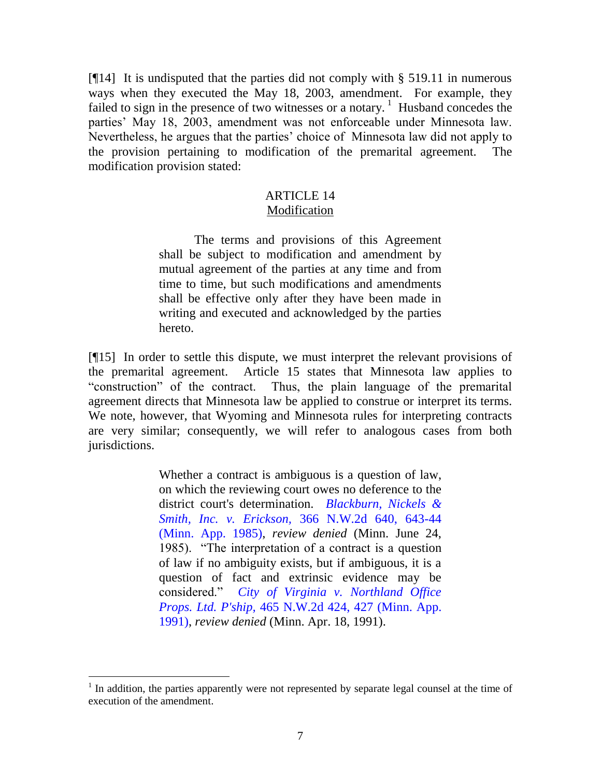[¶14] It is undisputed that the parties did not comply with § 519.11 in numerous ways when they executed the May 18, 2003, amendment. For example, they failed to sign in the presence of two witnesses or a notary.<sup>1</sup> Husband concedes the parties' May 18, 2003, amendment was not enforceable under Minnesota law. Nevertheless, he argues that the parties' choice of Minnesota law did not apply to the provision pertaining to modification of the premarital agreement. The modification provision stated:

## ARTICLE 14 Modification

The terms and provisions of this Agreement shall be subject to modification and amendment by mutual agreement of the parties at any time and from time to time, but such modifications and amendments shall be effective only after they have been made in writing and executed and acknowledged by the parties hereto.

[¶15] In order to settle this dispute, we must interpret the relevant provisions of the premarital agreement. Article 15 states that Minnesota law applies to "construction" of the contract. Thus, the plain language of the premarital agreement directs that Minnesota law be applied to construe or interpret its terms. We note, however, that Wyoming and Minnesota rules for interpreting contracts are very similar; consequently, we will refer to analogous cases from both jurisdictions.

> Whether a contract is ambiguous is a question of law, on which the reviewing court owes no deference to the district court's determination. *[Blackburn, Nickels &](http://www.westlaw.com/Find/Default.wl?rs=dfa1.0&vr=2.0&DB=595&FindType=Y&ReferencePositionType=S&SerialNum=1985120610&ReferencePosition=643)  [Smith, Inc. v. Erickson,](http://www.westlaw.com/Find/Default.wl?rs=dfa1.0&vr=2.0&DB=595&FindType=Y&ReferencePositionType=S&SerialNum=1985120610&ReferencePosition=643)* [366 N.W.2d 640, 643-44](http://www.westlaw.com/Find/Default.wl?rs=dfa1.0&vr=2.0&DB=595&FindType=Y&ReferencePositionType=S&SerialNum=1985120610&ReferencePosition=643)  (Minn. App. 1985), *review denied* (Minn. June 24, 1985). "The interpretation of a contract is a question of law if no ambiguity exists, but if ambiguous, it is a question of fact and extrinsic evidence may be considered." *[City of Virginia v. Northland Office](http://www.westlaw.com/Find/Default.wl?rs=dfa1.0&vr=2.0&DB=595&FindType=Y&ReferencePositionType=S&SerialNum=1991029445&ReferencePosition=427)  [Props. Ltd. P'ship,](http://www.westlaw.com/Find/Default.wl?rs=dfa1.0&vr=2.0&DB=595&FindType=Y&ReferencePositionType=S&SerialNum=1991029445&ReferencePosition=427)* [465 N.W.2d 424, 427 \(Minn.](http://www.westlaw.com/Find/Default.wl?rs=dfa1.0&vr=2.0&DB=595&FindType=Y&ReferencePositionType=S&SerialNum=1991029445&ReferencePosition=427) App. 1991), *review denied* (Minn. Apr. 18, 1991).

<sup>&</sup>lt;sup>1</sup> In addition, the parties apparently were not represented by separate legal counsel at the time of execution of the amendment.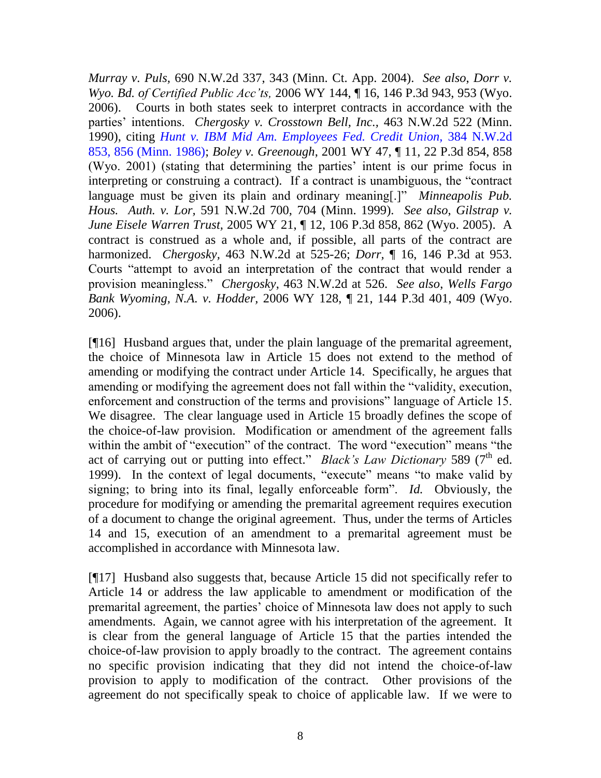*Murray v. Puls,* 690 N.W.2d 337, 343 (Minn. Ct. App. 2004). *See also*, *Dorr v. Wyo. Bd. of Certified Public Acc'ts,* 2006 WY 144, ¶ 16, 146 P.3d 943, 953 (Wyo. 2006). Courts in both states seek to interpret contracts in accordance with the parties' intentions. *Chergosky v. Crosstown Bell, Inc.,* 463 N.W.2d 522 (Minn. 1990), citing *[Hunt v. IBM Mid Am. Employees Fed. Credit Union,](http://www.westlaw.com/Find/Default.wl?rs=dfa1.0&vr=2.0&DB=595&FindType=Y&ReferencePositionType=S&SerialNum=1986117234&ReferencePosition=856)* [384 N.W.2d](http://www.westlaw.com/Find/Default.wl?rs=dfa1.0&vr=2.0&DB=595&FindType=Y&ReferencePositionType=S&SerialNum=1986117234&ReferencePosition=856)  853, 856 (Minn. 1986); *Boley v. Greenough*, 2001 WY 47, ¶ 11, 22 P.3d 854, 858 (Wyo. 2001) (stating that determining the parties' intent is our prime focus in interpreting or construing a contract). If a contract is unambiguous, the "contract language must be given its plain and ordinary meaning[.]" *Minneapolis Pub. Hous. Auth. v. Lor,* 591 N.W.2d 700, 704 (Minn. 1999). *See also*, *Gilstrap v. June Eisele Warren Trust,* 2005 WY 21, ¶ 12, 106 P.3d 858, 862 (Wyo. 2005). A contract is construed as a whole and, if possible, all parts of the contract are harmonized. *Chergosky,* 463 N.W.2d at 525-26; *Dorr,* ¶ 16, 146 P.3d at 953. Courts "attempt to avoid an interpretation of the contract that would render a provision meaningless." *Chergosky*, 463 N.W.2d at 526. *See also*, *Wells Fargo Bank Wyoming, N.A. v. Hodder,* 2006 WY 128, ¶ 21, 144 P.3d 401, 409 (Wyo. 2006).

[¶16] Husband argues that, under the plain language of the premarital agreement, the choice of Minnesota law in Article 15 does not extend to the method of amending or modifying the contract under Article 14. Specifically, he argues that amending or modifying the agreement does not fall within the "validity, execution, enforcement and construction of the terms and provisions" language of Article 15. We disagree. The clear language used in Article 15 broadly defines the scope of the choice-of-law provision. Modification or amendment of the agreement falls within the ambit of "execution" of the contract. The word "execution" means "the act of carrying out or putting into effect." *Black's Law Dictionary* 589 (7<sup>th</sup> ed. 1999). In the context of legal documents, "execute" means "to make valid by signing; to bring into its final, legally enforceable form". *Id.* Obviously, the procedure for modifying or amending the premarital agreement requires execution of a document to change the original agreement. Thus, under the terms of Articles 14 and 15, execution of an amendment to a premarital agreement must be accomplished in accordance with Minnesota law.

[¶17] Husband also suggests that, because Article 15 did not specifically refer to Article 14 or address the law applicable to amendment or modification of the premarital agreement, the parties' choice of Minnesota law does not apply to such amendments. Again, we cannot agree with his interpretation of the agreement. It is clear from the general language of Article 15 that the parties intended the choice-of-law provision to apply broadly to the contract. The agreement contains no specific provision indicating that they did not intend the choice-of-law provision to apply to modification of the contract. Other provisions of the agreement do not specifically speak to choice of applicable law. If we were to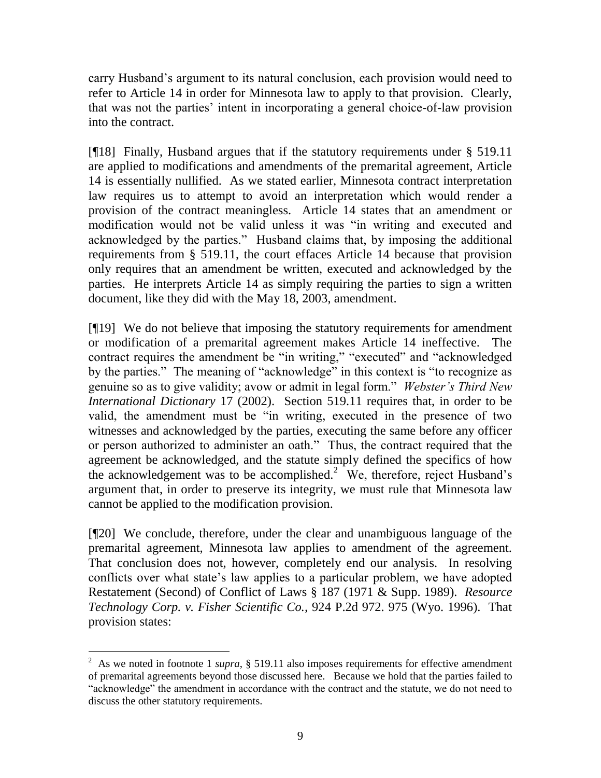carry Husband's argument to its natural conclusion, each provision would need to refer to Article 14 in order for Minnesota law to apply to that provision. Clearly, that was not the parties' intent in incorporating a general choice-of-law provision into the contract.

[¶18] Finally, Husband argues that if the statutory requirements under § 519.11 are applied to modifications and amendments of the premarital agreement, Article 14 is essentially nullified. As we stated earlier, Minnesota contract interpretation law requires us to attempt to avoid an interpretation which would render a provision of the contract meaningless. Article 14 states that an amendment or modification would not be valid unless it was "in writing and executed and acknowledged by the parties." Husband claims that, by imposing the additional requirements from § 519.11, the court effaces Article 14 because that provision only requires that an amendment be written, executed and acknowledged by the parties. He interprets Article 14 as simply requiring the parties to sign a written document, like they did with the May 18, 2003, amendment.

[¶19] We do not believe that imposing the statutory requirements for amendment or modification of a premarital agreement makes Article 14 ineffective. The contract requires the amendment be "in writing," "executed" and "acknowledged by the parties." The meaning of "acknowledge" in this context is "to recognize as genuine so as to give validity; avow or admit in legal form." *Webster's Third New International Dictionary* 17 (2002). Section 519.11 requires that, in order to be valid, the amendment must be "in writing, executed in the presence of two witnesses and acknowledged by the parties, executing the same before any officer or person authorized to administer an oath." Thus, the contract required that the agreement be acknowledged, and the statute simply defined the specifics of how the acknowledgement was to be accomplished. $2 \times 1$  We, therefore, reject Husband's argument that, in order to preserve its integrity, we must rule that Minnesota law cannot be applied to the modification provision.

[¶20] We conclude, therefore, under the clear and unambiguous language of the premarital agreement, Minnesota law applies to amendment of the agreement. That conclusion does not, however, completely end our analysis. In resolving conflicts over what state's law applies to a particular problem, we have adopted Restatement (Second) of Conflict of Laws § 187 (1971 & Supp. 1989). *Resource Technology Corp. v. Fisher Scientific Co.,* 924 P.2d 972. 975 (Wyo. 1996). That provision states:

 $\overline{a}$ 

<sup>&</sup>lt;sup>2</sup> As we noted in footnote 1 *supra*, § 519.11 also imposes requirements for effective amendment of premarital agreements beyond those discussed here. Because we hold that the parties failed to "acknowledge" the amendment in accordance with the contract and the statute, we do not need to discuss the other statutory requirements.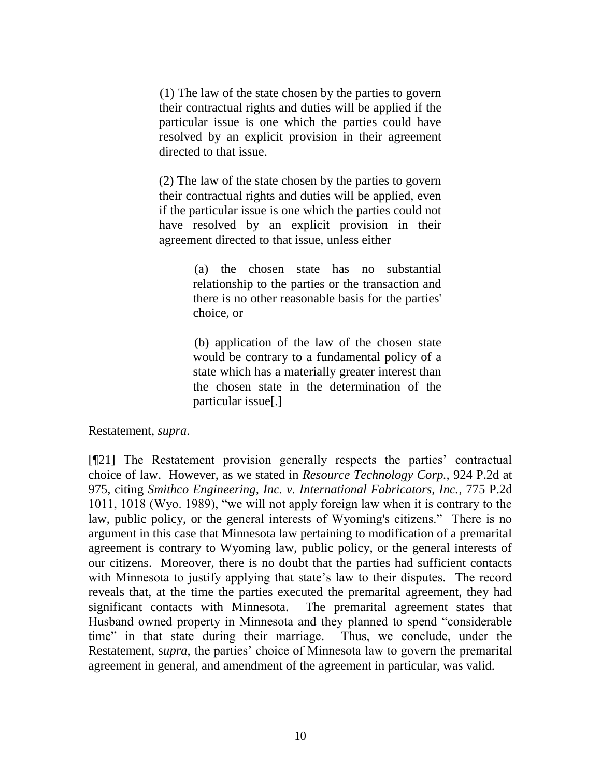(1) The law of the state chosen by the parties to govern their contractual rights and duties will be applied if the particular issue is one which the parties could have resolved by an explicit provision in their agreement directed to that issue.

(2) The law of the state chosen by the parties to govern their contractual rights and duties will be applied, even if the particular issue is one which the parties could not have resolved by an explicit provision in their agreement directed to that issue, unless either

> (a) the chosen state has no substantial relationship to the parties or the transaction and there is no other reasonable basis for the parties' choice, or

> (b) application of the law of the chosen state would be contrary to a fundamental policy of a state which has a materially greater interest than the chosen state in the determination of the particular issue[.]

Restatement, *supra*.

[¶21] The Restatement provision generally respects the parties' contractual choice of law. However, as we stated in *Resource Technology Corp.,* 924 P.2d at 975, citing *Smithco Engineering, Inc. v. International Fabricators, Inc.*, 775 P.2d 1011, 1018 (Wyo. 1989), "we will not apply foreign law when it is contrary to the law, public policy, or the general interests of Wyoming's citizens." There is no argument in this case that Minnesota law pertaining to modification of a premarital agreement is contrary to Wyoming law, public policy, or the general interests of our citizens. Moreover, there is no doubt that the parties had sufficient contacts with Minnesota to justify applying that state's law to their disputes. The record reveals that, at the time the parties executed the premarital agreement, they had significant contacts with Minnesota. The premarital agreement states that Husband owned property in Minnesota and they planned to spend "considerable time" in that state during their marriage. Thus, we conclude, under the Restatement, s*upra*, the parties' choice of Minnesota law to govern the premarital agreement in general, and amendment of the agreement in particular, was valid.